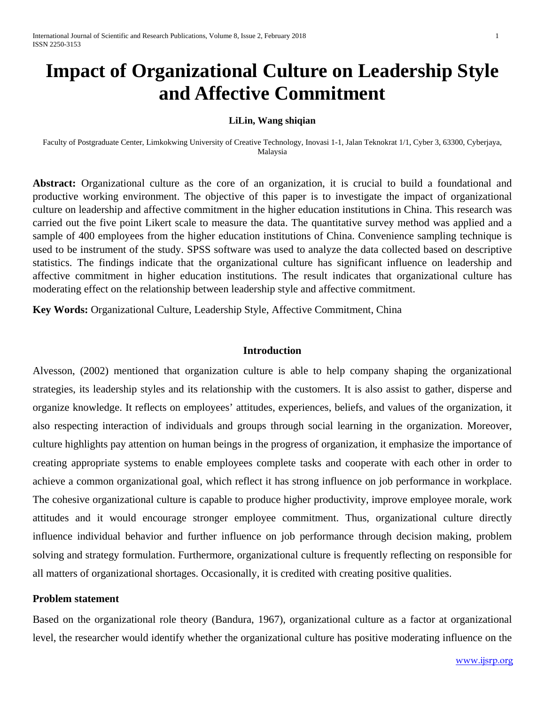# **Impact of Organizational Culture on Leadership Style and Affective Commitment**

#### **LiLin, Wang shiqian**

Faculty of Postgraduate Center, Limkokwing University of Creative Technology, Inovasi 1-1, Jalan Teknokrat 1/1, Cyber 3, 63300, Cyberjaya, Malaysia

**Abstract:** Organizational culture as the core of an organization, it is crucial to build a foundational and productive working environment. The objective of this paper is to investigate the impact of organizational culture on leadership and affective commitment in the higher education institutions in China. This research was carried out the five point Likert scale to measure the data. The quantitative survey method was applied and a sample of 400 employees from the higher education institutions of China. Convenience sampling technique is used to be instrument of the study. SPSS software was used to analyze the data collected based on descriptive statistics. The findings indicate that the organizational culture has significant influence on leadership and affective commitment in higher education institutions. The result indicates that organizational culture has moderating effect on the relationship between leadership style and affective commitment.

**Key Words:** Organizational Culture, Leadership Style, Affective Commitment, China

#### **Introduction**

Alvesson, (2002) mentioned that organization culture is able to help company shaping the organizational strategies, its leadership styles and its relationship with the customers. It is also assist to gather, disperse and organize knowledge. It reflects on employees' attitudes, experiences, beliefs, and values of the organization, it also respecting interaction of individuals and groups through social learning in the organization. Moreover, culture highlights pay attention on human beings in the progress of organization, it emphasize the importance of creating appropriate systems to enable employees complete tasks and cooperate with each other in order to achieve a common organizational goal, which reflect it has strong influence on job performance in workplace. The cohesive organizational culture is capable to produce higher productivity, improve employee morale, work attitudes and it would encourage stronger employee commitment. Thus, organizational culture directly influence individual behavior and further influence on job performance through decision making, problem solving and strategy formulation. Furthermore, organizational culture is frequently reflecting on responsible for all matters of organizational shortages. Occasionally, it is credited with creating positive qualities.

#### **Problem statement**

Based on the organizational role theory (Bandura, 1967), organizational culture as a factor at organizational level, the researcher would identify whether the organizational culture has positive moderating influence on the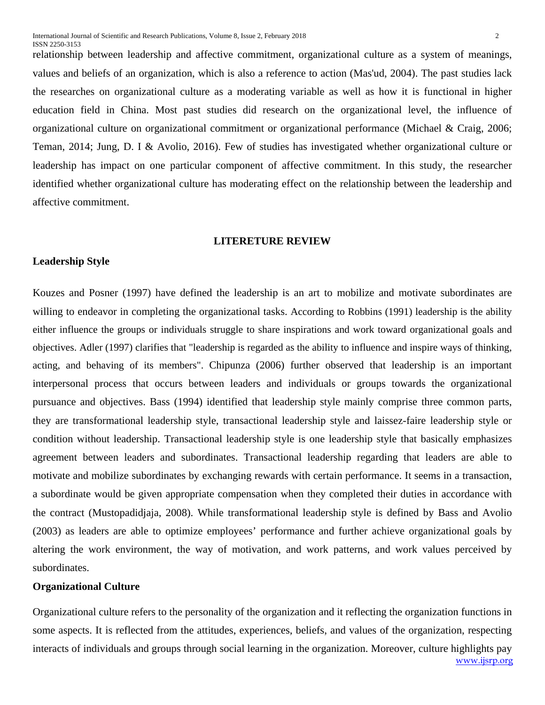relationship between leadership and affective commitment, organizational culture as a system of meanings, values and beliefs of an organization, which is also a reference to action (Mas'ud, 2004). The past studies lack the researches on organizational culture as a moderating variable as well as how it is functional in higher education field in China. Most past studies did research on the organizational level, the influence of organizational culture on organizational commitment or organizational performance (Michael & Craig, 2006; Teman, 2014; Jung, D. I & Avolio, 2016). Few of studies has investigated whether organizational culture or leadership has impact on one particular component of affective commitment. In this study, the researcher identified whether organizational culture has moderating effect on the relationship between the leadership and affective commitment.

#### **LITERETURE REVIEW**

# **Leadership Style**

Kouzes and Posner (1997) have defined the leadership is an art to mobilize and motivate subordinates are willing to endeavor in completing the organizational tasks. According to Robbins (1991) leadership is the ability either influence the groups or individuals struggle to share inspirations and work toward organizational goals and objectives. Adler (1997) clarifies that "leadership is regarded as the ability to influence and inspire ways of thinking, acting, and behaving of its members". Chipunza (2006) further observed that leadership is an important interpersonal process that occurs between leaders and individuals or groups towards the organizational pursuance and objectives. Bass (1994) identified that leadership style mainly comprise three common parts, they are transformational leadership style, transactional leadership style and laissez-faire leadership style or condition without leadership. Transactional leadership style is one leadership style that basically emphasizes agreement between leaders and subordinates. Transactional leadership regarding that leaders are able to motivate and mobilize subordinates by exchanging rewards with certain performance. It seems in a transaction, a subordinate would be given appropriate compensation when they completed their duties in accordance with the contract (Mustopadidjaja, 2008). While transformational leadership style is defined by Bass and Avolio (2003) as leaders are able to optimize employees' performance and further achieve organizational goals by altering the work environment, the way of motivation, and work patterns, and work values perceived by subordinates.

# **Organizational Culture**

[www.ijsrp.org](http://ijsrp.org/) Organizational culture refers to the personality of the organization and it reflecting the organization functions in some aspects. It is reflected from the attitudes, experiences, beliefs, and values of the organization, respecting interacts of individuals and groups through social learning in the organization. Moreover, culture highlights pay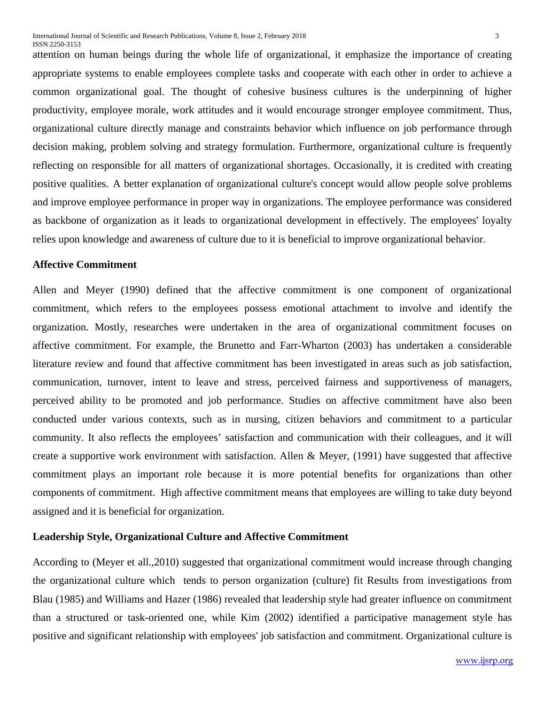attention on human beings during the whole life of organizational, it emphasize the importance of creating appropriate systems to enable employees complete tasks and cooperate with each other in order to achieve a common organizational goal. The thought of cohesive business cultures is the underpinning of higher productivity, employee morale, work attitudes and it would encourage stronger employee commitment. Thus, organizational culture directly manage and constraints behavior which influence on job performance through decision making, problem solving and strategy formulation. Furthermore, organizational culture is frequently reflecting on responsible for all matters of organizational shortages. Occasionally, it is credited with creating positive qualities. A better explanation of organizational culture's concept would allow people solve problems and improve employee performance in proper way in organizations. The employee performance was considered as backbone of organization as it leads to organizational development in effectively. The employees' loyalty relies upon knowledge and awareness of culture due to it is beneficial to improve organizational behavior.

## **Affective Commitment**

Allen and Meyer (1990) defined that the affective commitment is one component of organizational commitment, which refers to the employees possess emotional attachment to involve and identify the organization. Mostly, researches were undertaken in the area of organizational commitment focuses on affective commitment. For example, the Brunetto and Farr-Wharton (2003) has undertaken a considerable literature review and found that affective commitment has been investigated in areas such as job satisfaction, communication, turnover, intent to leave and stress, perceived fairness and supportiveness of managers, perceived ability to be promoted and job performance. Studies on affective commitment have also been conducted under various contexts, such as in nursing, citizen behaviors and commitment to a particular community. It also reflects the employees' satisfaction and communication with their colleagues, and it will create a supportive work environment with satisfaction. Allen  $\&$  Meyer, (1991) have suggested that affective commitment plays an important role because it is more potential benefits for organizations than other components of commitment. High affective commitment means that employees are willing to take duty beyond assigned and it is beneficial for organization.

#### **Leadership Style, Organizational Culture and Affective Commitment**

According to (Meyer et all.,2010) suggested that organizational commitment would increase through changing the organizational culture which tends to person organization (culture) fit Results from investigations from Blau (1985) and Williams and Hazer (1986) revealed that leadership style had greater influence on commitment than a structured or task-oriented one, while Kim (2002) identified a participative management style has positive and significant relationship with employees' job satisfaction and commitment. Organizational culture is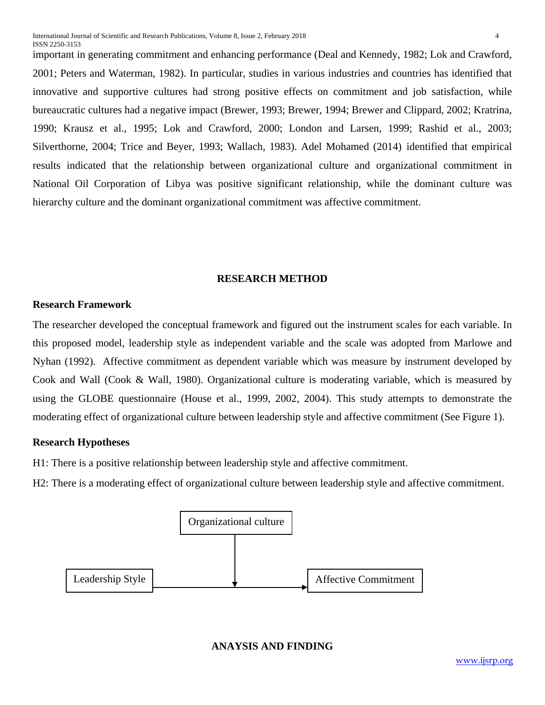important in generating commitment and enhancing performance (Deal and Kennedy, 1982; Lok and Crawford, 2001; Peters and Waterman, 1982). In particular, studies in various industries and countries has identified that innovative and supportive cultures had strong positive effects on commitment and job satisfaction, while bureaucratic cultures had a negative impact (Brewer, 1993; Brewer, 1994; Brewer and Clippard, 2002; Kratrina, 1990; Krausz et al., 1995; Lok and Crawford, 2000; London and Larsen, 1999; Rashid et al., 2003; Silverthorne, 2004; Trice and Beyer, 1993; Wallach, 1983). Adel Mohamed (2014) identified that empirical results indicated that the relationship between organizational culture and organizational commitment in National Oil Corporation of Libya was positive significant relationship, while the dominant culture was hierarchy culture and the dominant organizational commitment was affective commitment.

# **RESEARCH METHOD**

# **Research Framework**

The researcher developed the conceptual framework and figured out the instrument scales for each variable. In this proposed model, leadership style as independent variable and the scale was adopted from Marlowe and Nyhan (1992). Affective commitment as dependent variable which was measure by instrument developed by Cook and Wall (Cook & Wall, 1980). Organizational culture is moderating variable, which is measured by using the GLOBE questionnaire (House et al., 1999, 2002, 2004). This study attempts to demonstrate the moderating effect of organizational culture between leadership style and affective commitment (See Figure 1).

# **Research Hypotheses**

H1: There is a positive relationship between leadership style and affective commitment.

H2: There is a moderating effect of organizational culture between leadership style and affective commitment.



# **ANAYSIS AND FINDING**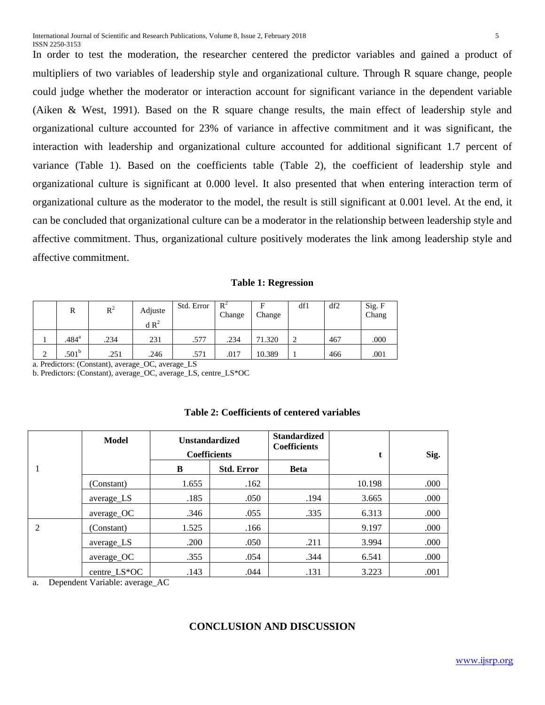In order to test the moderation, the researcher centered the predictor variables and gained a product of multipliers of two variables of leadership style and organizational culture. Through R square change, people could judge whether the moderator or interaction account for significant variance in the dependent variable (Aiken & West, 1991). Based on the R square change results, the main effect of leadership style and organizational culture accounted for 23% of variance in affective commitment and it was significant, the interaction with leadership and organizational culture accounted for additional significant 1.7 percent of variance (Table 1). Based on the coefficients table (Table 2), the coefficient of leadership style and organizational culture is significant at 0.000 level. It also presented that when entering interaction term of organizational culture as the moderator to the model, the result is still significant at 0.001 level. At the end, it can be concluded that organizational culture can be a moderator in the relationship between leadership style and affective commitment. Thus, organizational culture positively moderates the link among leadership style and affective commitment.

**Table 1: Regression**

|   | R                 | $R^2$ | Adjuste<br>$dR^2$ | Std. Error | $R^2$<br>Change | F<br>Change | df1 | df2 | Sig. F<br>Chang |
|---|-------------------|-------|-------------------|------------|-----------------|-------------|-----|-----|-----------------|
|   | .484 <sup>a</sup> | .234  | 231               | .577       | .234            | 71.320      | ി   | 467 | .000            |
| ◠ | .501 <sup>b</sup> | .251  | .246              | .571       | .017            | 10.389      |     | 466 | .001            |

a. Predictors: (Constant), average\_OC, average\_LS

b. Predictors: (Constant), average\_OC, average\_LS, centre\_LS\*OC

| Table 2: Coefficients of centered variables |  |
|---------------------------------------------|--|
|---------------------------------------------|--|

|                | Model        | <b>Unstandardized</b><br><b>Coefficients</b> |                   | <b>Standardized</b><br><b>Coefficients</b> |        | Sig. |
|----------------|--------------|----------------------------------------------|-------------------|--------------------------------------------|--------|------|
|                |              | B                                            | <b>Std. Error</b> | <b>Beta</b>                                |        |      |
|                | (Constant)   | 1.655                                        | .162              |                                            | 10.198 | .000 |
|                | average_LS   | .185                                         | .050              | .194                                       | 3.665  | .000 |
|                | average_OC   | .346                                         | .055              | .335                                       | 6.313  | .000 |
| $\mathfrak{D}$ | (Constant)   | 1.525                                        | .166              |                                            | 9.197  | .000 |
|                | average_LS   | .200                                         | .050              | .211                                       | 3.994  | .000 |
|                | average_OC   | .355                                         | .054              | .344                                       | 6.541  | .000 |
|                | centre_LS*OC | .143                                         | .044              | .131                                       | 3.223  | .001 |

a. Dependent Variable: average\_AC

# **CONCLUSION AND DISCUSSION**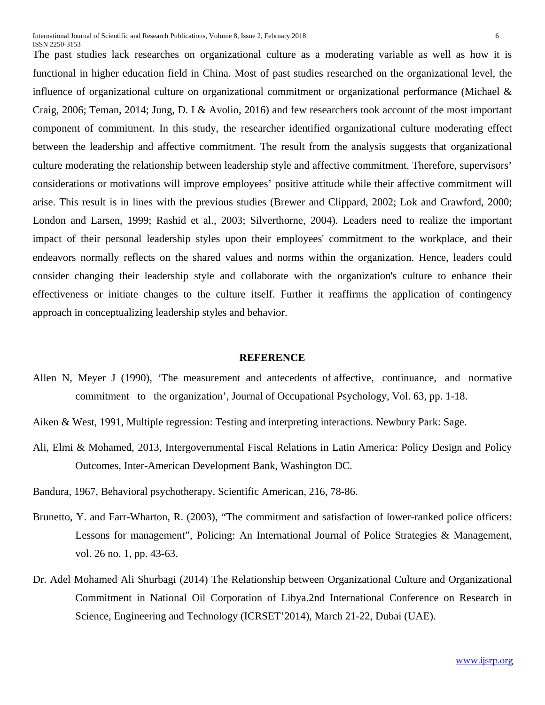The past studies lack researches on organizational culture as a moderating variable as well as how it is functional in higher education field in China. Most of past studies researched on the organizational level, the influence of organizational culture on organizational commitment or organizational performance (Michael  $\&$ Craig, 2006; Teman, 2014; Jung, D. I & Avolio, 2016) and few researchers took account of the most important component of commitment. In this study, the researcher identified organizational culture moderating effect between the leadership and affective commitment. The result from the analysis suggests that organizational culture moderating the relationship between leadership style and affective commitment. Therefore, supervisors' considerations or motivations will improve employees' positive attitude while their affective commitment will arise. This result is in lines with the previous studies (Brewer and Clippard, 2002; Lok and Crawford, 2000; London and Larsen, 1999; Rashid et al., 2003; Silverthorne, 2004). Leaders need to realize the important impact of their personal leadership styles upon their employees' commitment to the workplace, and their endeavors normally reflects on the shared values and norms within the organization. Hence, leaders could consider changing their leadership style and collaborate with the organization's culture to enhance their effectiveness or initiate changes to the culture itself. Further it reaffirms the application of contingency approach in conceptualizing leadership styles and behavior.

#### **REFERENCE**

- Allen N, Meyer J (1990), 'The measurement and antecedents of affective, continuance, and normative commitment to the organization', Journal of Occupational Psychology, Vol. 63, pp. 1-18.
- Aiken & West, 1991, Multiple regression: Testing and interpreting interactions. Newbury Park: Sage.
- Ali, Elmi & Mohamed, 2013, Intergovernmental Fiscal Relations in Latin America: Policy Design and Policy Outcomes, Inter-American Development Bank, Washington DC.
- Bandura, 1967, Behavioral psychotherapy. Scientific American, 216, 78-86.
- Brunetto, Y. and Farr-Wharton, R. (2003), "The commitment and satisfaction of lower-ranked police officers: Lessons for management", Policing: An International Journal of Police Strategies & Management, vol. 26 no. 1, pp. 43-63.
- Dr. Adel Mohamed Ali Shurbagi (2014) The Relationship between Organizational Culture and Organizational Commitment in National Oil Corporation of Libya.2nd International Conference on Research in Science, Engineering and Technology (ICRSET'2014), March 21-22, Dubai (UAE).